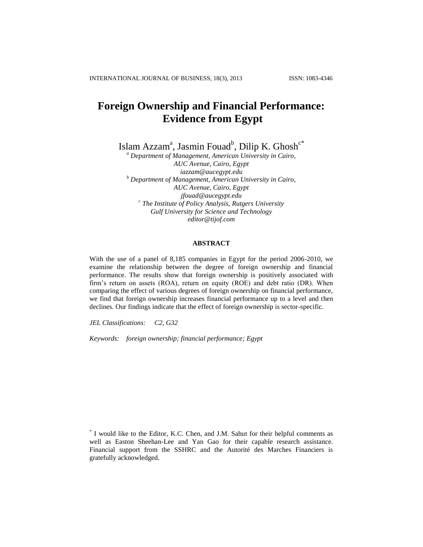# **Foreign Ownership and Financial Performance: Evidence from Egypt**

Islam Azzam<sup>a</sup>, Jasmin Fouad<sup>b</sup>, Dilip K. Ghosh<sup>c\*</sup>

*<sup>a</sup> Department of Management, American University in Cairo, AUC Avenue, Cairo, Egypt [iazzam@aucegypt.edu](mailto:iazzam@aucegypt.edu) <sup>b</sup> Department of Management, American University in Cairo, AUC Avenue, Cairo, Egypt jfouad@aucegypt.edu c The Institute of Policy Analysis, Rutgers University Gulf University for Science and Technology [editor@tijof.com](mailto:editor@tijof.com)*

## **ABSTRACT**

With the use of a panel of 8,185 companies in Egypt for the period 2006-2010, we examine the relationship between the degree of foreign ownership and financial performance. The results show that foreign ownership is positively associated with firm's return on assets (ROA), return on equity (ROE) and debt ratio (DR). When comparing the effect of various degrees of foreign ownership on financial performance, we find that foreign ownership increases financial performance up to a level and then declines. Our findings indicate that the effect of foreign ownership is sector-specific.

*JEL Classifications: C2, G32* 

*Keywords: foreign ownership; financial performance; Egypt* 

<sup>\*</sup> I would like to the Editor, K.C. Chen, and J.M. Sahut for their helpful comments as well as Easton Sheehan-Lee and Yan Gao for their capable research assistance. Financial support from the SSHRC and the Autorité des Marches Financiers is gratefully acknowledged.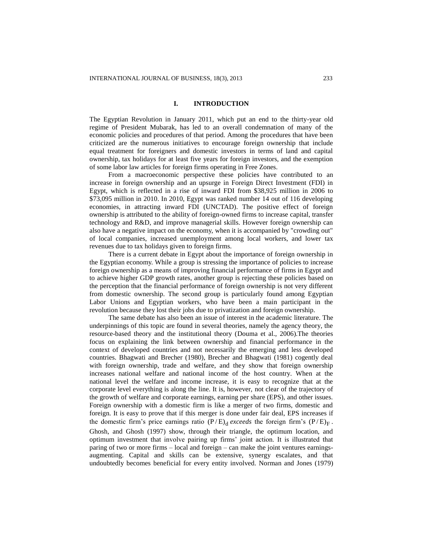## **I. INTRODUCTION**

The Egyptian Revolution in January 2011, which put an end to the thirty-year old regime of President Mubarak, has led to an overall condemnation of many of the economic policies and procedures of that period. Among the procedures that have been criticized are the numerous initiatives to encourage foreign ownership that include equal treatment for foreigners and domestic investors in terms of land and capital ownership, tax holidays for at least five years for foreign investors, and the exemption of some labor law articles for foreign firms operating in Free Zones.

From a macroeconomic perspective these policies have contributed to an increase in foreign ownership and an upsurge in Foreign Direct Investment (FDI) in Egypt, which is reflected in a rise of inward FDI from \$38,925 million in 2006 to \$73,095 million in 2010. In 2010, Egypt was ranked number 14 out of 116 developing economies, in attracting inward FDI (UNCTAD). The positive effect of foreign ownership is attributed to the ability of foreign-owned firms to increase capital, transfer technology and R&D, and improve managerial skills. However foreign ownership can also have a negative impact on the economy, when it is accompanied by "crowding out" of local companies, increased unemployment among local workers, and lower tax revenues due to tax holidays given to foreign firms.

There is a current debate in Egypt about the importance of foreign ownership in the Egyptian economy. While a group is stressing the importance of policies to increase foreign ownership as a means of improving financial performance of firms in Egypt and to achieve higher GDP growth rates, another group is rejecting these policies based on the perception that the financial performance of foreign ownership is not very different from domestic ownership. The second group is particularly found among Egyptian Labor Unions and Egyptian workers, who have been a main participant in the revolution because they lost their jobs due to privatization and foreign ownership.

The same debate has also been an issue of interest in the academic literature. The underpinnings of this topic are found in several theories, namely the agency theory, the resource-based theory and the institutional theory (Douma et al., 2006).The theories focus on explaining the link between ownership and financial performance in the context of developed countries and not necessarily the emerging and less developed countries. Bhagwati and Brecher (1980), Brecher and Bhagwati (1981) cogently deal with foreign ownership, trade and welfare, and they show that foreign ownership increases national welfare and national income of the host country. When at the national level the welfare and income increase, it is easy to recognize that at the corporate level everything is along the line. It is, however, not clear of the trajectory of the growth of welfare and corporate earnings, earning per share (EPS), and other issues. Foreign ownership with a domestic firm is like a merger of two firms, domestic and foreign. It is easy to prove that if this merger is done under fair deal, EPS increases if the domestic firm's price earnings ratio  $(P/E)$ <sub>d</sub> exceeds the foreign firm's  $(P/E)_F$ . Ghosh, and Ghosh (1997) show, through their triangle, the optimum location, and optimum investment that involve pairing up firms' joint action. It is illustrated that paring of two or more firms – local and foreign – can make the joint ventures earningsaugmenting. Capital and skills can be extensive, synergy escalates, and that undoubtedly becomes beneficial for every entity involved. Norman and Jones (1979)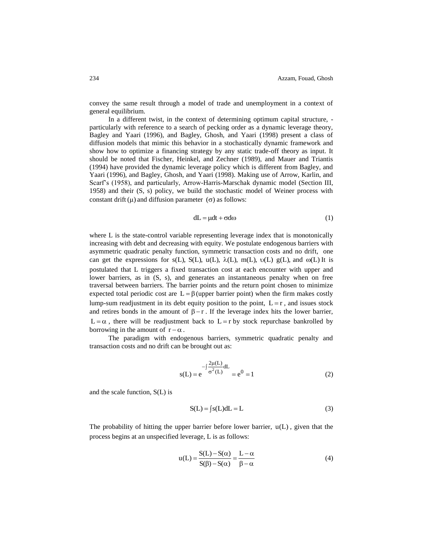convey the same result through a model of trade and unemployment in a context of general equilibrium.

In a different twist, in the context of determining optimum capital structure, particularly with reference to a search of pecking order as a dynamic leverage theory, Bagley and Yaari (1996), and Bagley, Ghosh, and Yaari (1998) present a class of diffusion models that mimic this behavior in a stochastically dynamic framework and show how to optimize a financing strategy by any static trade-off theory as input. It should be noted that Fischer, Heinkel, and Zechner (1989), and Mauer and Triantis (1994) have provided the dynamic leverage policy which is different from Bagley, and Yaari (1996), and Bagley, Ghosh, and Yaari (1998). Making use of Arrow, Karlin, and Scarf's (1958), and particularly, Arrow-Harris-Marschak dynamic model (Section III, 1958) and their (S, s) policy, we build the stochastic model of Weiner process with constant drift  $(\mu)$  and diffusion parameter  $(\sigma)$  as follows:

$$
dL = \mu dt + \sigma d\omega \tag{1}
$$

where L is the state-control variable representing leverage index that is monotonically increasing with debt and decreasing with equity. We postulate endogenous barriers with asymmetric quadratic penalty function, symmetric transaction costs and no drift, one can get the expressions for s(L), S(L), u(L),  $\lambda(L)$ , m(L),  $\nu(L)$  g(L), and  $\omega(L)$  It is postulated that L triggers a fixed transaction cost at each encounter with upper and lower barriers, as in  $(S, s)$ , and generates an instantaneous penalty when on free traversal between barriers. The barrier points and the return point chosen to minimize expected total periodic cost are  $L = \beta$  (upper barrier point) when the firm makes costly lump-sum readjustment in its debt equity position to the point,  $L = r$ , and issues stock and retires bonds in the amount of  $\beta - r$ . If the leverage index hits the lower barrier,  $L = \alpha$ , there will be readjustment back to  $L = r$  by stock repurchase bankrolled by borrowing in the amount of  $r - \alpha$ .

The paradigm with endogenous barriers, symmetric quadratic penalty and transaction costs and no drift can be brought out as:

$$
s(L) = e^{-\int \frac{2\mu(L)}{\sigma^2(L)}} = e^{0} = 1
$$
 (2)

and the scale function, S(L) is

$$
S(L) = \int s(L)dL = L
$$
 (3)

The probability of hitting the upper barrier before lower barrier,  $u(L)$ , given that the process begins at an unspecified leverage, L is as follows:

$$
u(L) = \frac{S(L) - S(\alpha)}{S(\beta) - S(\alpha)} = \frac{L - \alpha}{\beta - \alpha}
$$
(4)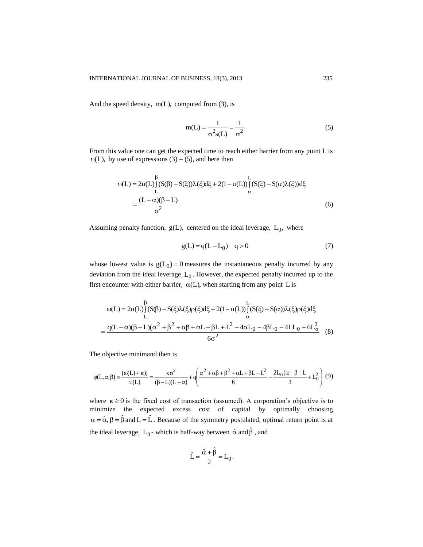And the speed density, m(L), computed from (3), is

$$
m(L) = \frac{1}{\sigma^2 s(L)} = \frac{1}{\sigma^2}
$$
 (5)

From this value one can get the expected time to reach either barrier from any point L is  $v(L)$ , by use of expressions (3) – (5), and here then

$$
v(L) = 2u(L)\int_{L}^{\beta} (S(\beta) - S(\xi))\lambda(\xi)d\xi + 2(1 - u(L))\int_{\alpha}^{L} (S(\xi) - S(\alpha)\lambda(\xi))d\xi
$$

$$
= \frac{(L - \alpha)(\beta - L)}{\sigma^2}
$$
(6)

Assuming penalty function,  $g(L)$ , centered on the ideal leverage,  $L_0$ , where

$$
g(L) = q(L - L_0) \quad q > 0 \tag{7}
$$

whose lowest value is  $g(L_0) = 0$  measures the instantaneous penalty incurred by any deviation from the ideal leverage,  $L_0$ . However, the expected penalty incurred up to the first encounter with either barrier,  $\omega(L)$ , when starting from any point L is

$$
\omega(L) = 2u(L)\int_{L}^{\beta} (S(\beta) - S(\xi)\lambda(\xi)\rho(\xi)d\xi + 2(1 - u(L))\int_{\alpha}^{L} (S(\xi) - S(\alpha))\lambda(\xi)\rho(\xi)d\xi
$$
  
= 
$$
\frac{q(L - \alpha)(\beta - L)(\alpha^2 + \beta^2 + \alpha\beta + \alpha L + \beta L + L^2 - 4\alpha L_0 - 4\beta L_0 - 4LL_0 + 6L_0^2}{6\sigma^2}
$$
(8)

The objective minimand then is

The objective minimal then is  
\n
$$
\varphi(L,\alpha,\beta) = \frac{(\omega(L)+\kappa))}{\upsilon(L)} = \frac{\kappa\sigma^2}{(\beta-L)(L-\alpha)} + q\left(\frac{\alpha^2 + \alpha\beta + \beta^2 + \alpha L + \beta L + L^2}{6} - \frac{2L_0(\alpha-\beta+L}{3} + L_0^2)\right)
$$
(9)

where  $\kappa \ge 0$  is the fixed cost of transaction (assumed). A corporation's objective is to minimize the expected excess cost of capital by optimally choosing  $\alpha = \hat{\alpha}, \beta = \hat{\beta}$  and  $L = \hat{L}$ . Because of the symmetry postulated, optimal return point is at the ideal leverage,  $L_0$ - which is half-way between  $\hat{\alpha}$  and  $\hat{\beta}$ , and

$$
\hat{L} = \frac{\hat{\alpha} + \hat{\beta}}{2} = L_0 \, .
$$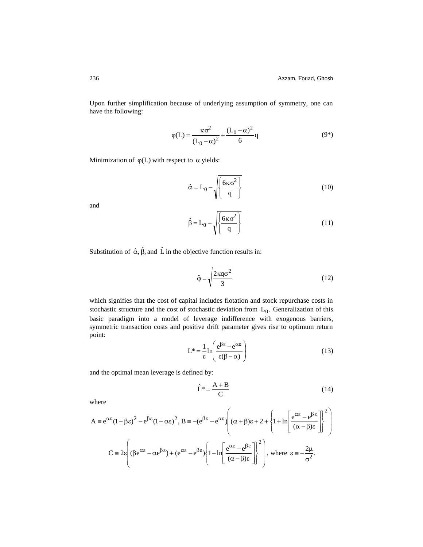Upon further simplification because of underlying assumption of symmetry, one can have the following:

$$
\varphi(L) = \frac{\kappa \sigma^2}{(L_0 - \alpha)^2} + \frac{(L_0 - \alpha)^2}{6} q \tag{9*}
$$

Minimization of  $\varphi(L)$  with respect to  $\alpha$  yields:

$$
\hat{\alpha} = L_0 - \sqrt{\left\{ \frac{6\kappa\sigma^2}{q} \right\}}
$$
\n(10)

and

$$
\hat{\beta} = L_0 - \sqrt{\frac{6\kappa\sigma^2}{q}}
$$
\n(11)

Substitution of  $\hat{\alpha}$ ,  $\hat{\beta}$ , and  $\hat{L}$  in the objective function results in:

$$
\hat{\varphi} = \sqrt{\frac{2\kappa q \sigma^2}{3}}\tag{12}
$$

which signifies that the cost of capital includes flotation and stock repurchase costs in stochastic structure and the cost of stochastic deviation from  $L_0$ . Generalization of this basic paradigm into a model of leverage indifference with exogenous barriers, symmetric transaction costs and positive drift parameter gives rise to optimum return point:

$$
L^* = \frac{1}{\varepsilon} \ln \left( \frac{e^{\beta \varepsilon} - e^{\alpha \varepsilon}}{\varepsilon (\beta - \alpha)} \right) \tag{13}
$$

and the optimal mean leverage is defined by:

$$
\hat{L}^* = \frac{A + B}{C} \tag{14}
$$

where

where  
\n
$$
A = e^{\alpha \varepsilon} (1 + \beta \varepsilon)^2 - e^{\beta \varepsilon} (1 + \alpha \varepsilon)^2, B = -(e^{\beta \varepsilon} - e^{\alpha \varepsilon}) \left( (\alpha + \beta) \varepsilon + 2 + \left\{ 1 + \ln \left[ \frac{e^{\alpha \varepsilon} - e^{\beta \varepsilon}}{(\alpha - \beta) \varepsilon} \right] \right\}^2 \right)
$$
\n
$$
C = 2\varepsilon \left( (\beta e^{\alpha \varepsilon} - \alpha e^{\beta \varepsilon}) + (e^{\alpha \varepsilon} - e^{\beta \varepsilon}) \left\{ 1 - \ln \left[ \frac{e^{\alpha \varepsilon} - e^{\beta \varepsilon}}{(\alpha - \beta) \varepsilon} \right] \right\}^2 \right), \text{ where } \varepsilon = -\frac{2\mu}{\sigma^2}.
$$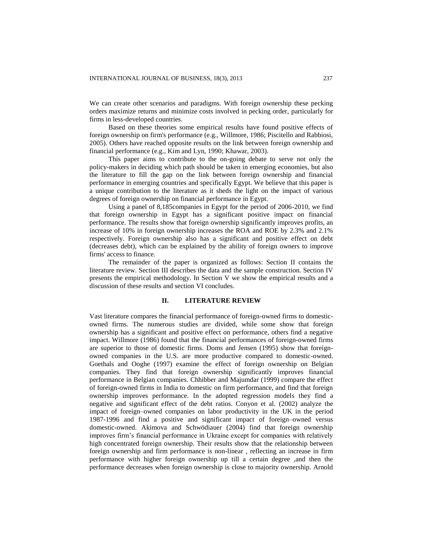We can create other scenarios and paradigms. With foreign ownership these pecking orders maximize returns and minimize costs involved in pecking order, particularly for firms in less-developed countries.

Based on these theories some empirical results have found positive effects of foreign ownership on firm's performance (e.g., Willmore, 1986; Piscitello and Rabbiosi, 2005). Others have reached opposite results on the link between foreign ownership and financial performance (e.g., Kim and Lyn, 1990; Khawar, 2003).

This paper aims to contribute to the on-going debate to serve not only the policy-makers in deciding which path should be taken in emerging economies, but also the literature to fill the gap on the link between foreign ownership and financial performance in emerging countries and specifically Egypt. We believe that this paper is a unique contribution to the literature as it sheds the light on the impact of various degrees of foreign ownership on financial performance in Egypt.

Using a panel of 8,185companies in Egypt for the period of 2006-2010, we find that foreign ownership in Egypt has a significant positive impact on financial performance. The results show that foreign ownership significantly improves profits, an increase of 10% in foreign ownership increases the ROA and ROE by 2.3% and 2.1% respectively. Foreign ownership also has a significant and positive effect on debt (decreases debt), which can be explained by the ability of foreign owners to improve firms' access to finance.

The remainder of the paper is organized as follows: Section II contains the literature review. Section III describes the data and the sample construction. Section IV presents the empirical methodology. In Section V we show the empirical results and a discussion of these results and section VI concludes.

### **II. LITERATURE REVIEW**

Vast literature compares the financial performance of foreign-owned firms to domesticowned firms. The numerous studies are divided, while some show that foreign ownership has a significant and positive effect on performance, others find a negative impact. Willmore (1986) found that the financial performances of foreign-owned firms are superior to those of domestic firms. Doms and Jensen (1995) show that foreignowned companies in the U.S. are more productive compared to domestic-owned. Goethals and Ooghe (1997) examine the effect of foreign ownership on Belgian companies. They find that foreign ownership significantly improves financial performance in Belgian companies. Chhibber and Majumdar (1999) compare the effect of foreign-owned firms in India to domestic on firm performance, and find that foreign ownership improves performance. In the adopted regression models they find a negative and significant effect of the debt ratios. Conyon et al. (2002) analyze the impact of foreign–owned companies on labor productivity in the UK in the period 1987-1996 and find a positive and significant impact of foreign–owned versus domestic-owned. Akimova and Schwödiauer (2004) find that foreign ownership improves firm's financial performance in Ukraine except for companies with relatively high concentrated foreign ownership. Their results show that the relationship between foreign ownership and firm performance is non-linear , reflecting an increase in firm performance with higher foreign ownership up till a certain degree ,and then the performance decreases when foreign ownership is close to majority ownership. Arnold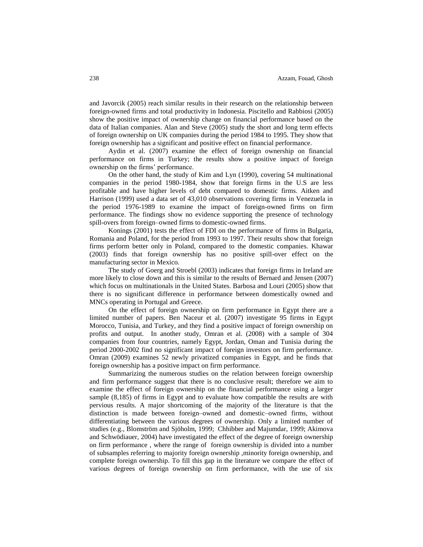and Javorcik (2005) reach similar results in their research on the relationship between foreign-owned firms and total productivity in Indonesia. Piscitello and Rabbiosi (2005) show the positive impact of ownership change on financial performance based on the data of Italian companies. Alan and Steve (2005) study the short and long term effects of foreign ownership on UK companies during the period 1984 to 1995. They show that foreign ownership has a significant and positive effect on financial performance.

Aydin et al. (2007) examine the effect of foreign ownership on financial performance on firms in Turkey; the results show a positive impact of foreign ownership on the firms' performance.

On the other hand, the study of Kim and Lyn (1990), covering 54 multinational companies in the period 1980-1984, show that foreign firms in the U.S are less profitable and have higher levels of debt compared to domestic firms. Aitken and Harrison (1999) used a data set of 43,010 observations covering firms in Venezuela in the period 1976-1989 to examine the impact of foreign-owned firms on firm performance. The findings show no evidence supporting the presence of technology spill-overs from foreign–owned firms to domestic-owned firms.

Konings (2001) tests the effect of FDI on the performance of firms in Bulgaria, Romania and Poland, for the period from 1993 to 1997. Their results show that foreign firms perform better only in Poland, compared to the domestic companies. Khawar (2003) finds that foreign ownership has no positive spill-over effect on the manufacturing sector in Mexico.

The study of Goerg and Stroebl (2003) indicates that foreign firms in Ireland are more likely to close down and this is similar to the results of Bernard and Jensen (2007) which focus on multinationals in the United States. Barbosa and Louri (2005) show that there is no significant difference in performance between domestically owned and MNCs operating in Portugal and Greece.

On the effect of foreign ownership on firm performance in Egypt there are a limited number of papers. Ben Naceur et al. (2007) investigate 95 firms in Egypt Morocco, Tunisia, and Turkey, and they find a positive impact of foreign ownership on profits and output. In another study, Omran et al. (2008) with a sample of 304 companies from four countries, namely Egypt, Jordan, Oman and Tunisia during the period 2000-2002 find no significant impact of foreign investors on firm performance. Omran (2009) examines 52 newly privatized companies in Egypt, and he finds that foreign ownership has a positive impact on firm performance.

Summarizing the numerous studies on the relation between foreign ownership and firm performance suggest that there is no conclusive result; therefore we aim to examine the effect of foreign ownership on the financial performance using a larger sample (8,185) of firms in Egypt and to evaluate how compatible the results are with pervious results. A major shortcoming of the majority of the literature is that the distinction is made between foreign–owned and domestic–owned firms, without differentiating between the various degrees of ownership. Only a limited number of studies (e.g., Blomström and Sjöholm, 1999; Chhibber and Majumdar, 1999; Akimova and Schwödiauer, 2004) have investigated the effect of the degree of foreign ownership on firm performance , where the range of foreign ownership is divided into a number of subsamples referring to majority foreign ownership ,minority foreign ownership, and complete foreign ownership. To fill this gap in the literature we compare the effect of various degrees of foreign ownership on firm performance, with the use of six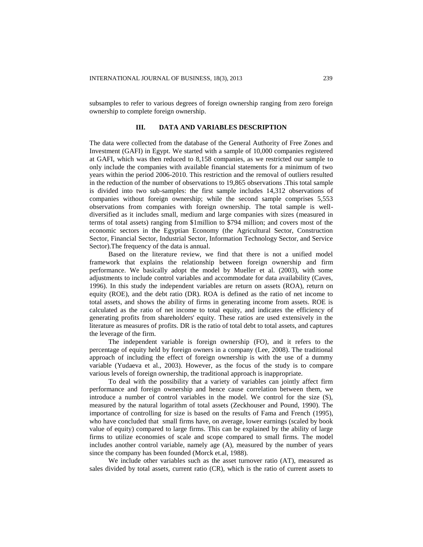subsamples to refer to various degrees of foreign ownership ranging from zero foreign ownership to complete foreign ownership.

#### **III. DATA AND VARIABLES DESCRIPTION**

The data were collected from the database of the General Authority of Free Zones and Investment (GAFI) in Egypt. We started with a sample of 10,000 companies registered at GAFI, which was then reduced to 8,158 companies, as we restricted our sample to only include the companies with available financial statements for a minimum of two years within the period 2006-2010. This restriction and the removal of outliers resulted in the reduction of the number of observations to 19,865 observations .This total sample is divided into two sub-samples: the first sample includes 14,312 observations of companies without foreign ownership; while the second sample comprises 5,553 observations from companies with foreign ownership. The total sample is welldiversified as it includes small, medium and large companies with sizes (measured in terms of total assets) ranging from \$1million to \$794 million; and covers most of the economic sectors in the Egyptian Economy (the Agricultural Sector, Construction Sector, Financial Sector, Industrial Sector, Information Technology Sector, and Service Sector).The frequency of the data is annual.

Based on the literature review, we find that there is not a unified model framework that explains the relationship between foreign ownership and firm performance. We basically adopt the model by Mueller et al. (2003), with some adjustments to include control variables and accommodate for data availability (Caves, 1996). In this study the independent variables are return on assets (ROA), return on equity (ROE), and the debt ratio (DR). ROA is defined as the ratio of net income to total assets, and shows the ability of firms in generating income from assets. ROE is calculated as the ratio of net income to total equity, and indicates the efficiency of generating profits from shareholders' equity. These ratios are used extensively in the literature as measures of profits. DR is the ratio of total debt to total assets, and captures the leverage of the firm.

The independent variable is foreign ownership (FO), and it refers to the percentage of equity held by foreign owners in a company (Lee, 2008). The traditional approach of including the effect of foreign ownership is with the use of a dummy variable (Yudaeva et al., 2003). However, as the focus of the study is to compare various levels of foreign ownership, the traditional approach is inappropriate.

To deal with the possibility that a variety of variables can jointly affect firm performance and foreign ownership and hence cause correlation between them, we introduce a number of control variables in the model. We control for the size (S), measured by the natural logarithm of total assets (Zeckhouser and Pound, 1990). The importance of controlling for size is based on the results of Fama and French (1995), who have concluded that small firms have, on average, lower earnings (scaled by book value of equity) compared to large firms. This can be explained by the ability of large firms to utilize economies of scale and scope compared to small firms. The model includes another control variable, namely age (A), measured by the number of years since the company has been founded (Morck et.al, 1988).

We include other variables such as the asset turnover ratio (AT), measured as sales divided by total assets, current ratio (CR), which is the ratio of current assets to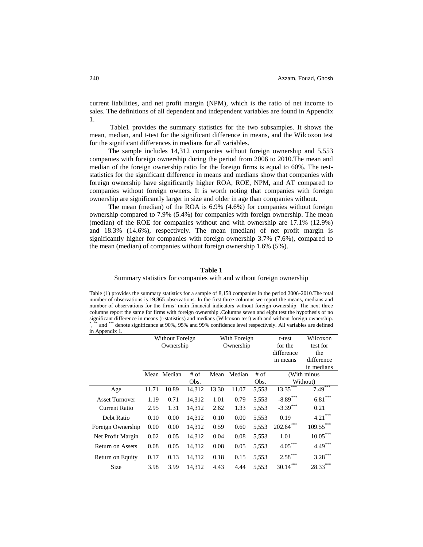current liabilities, and net profit margin (NPM), which is the ratio of net income to sales. The definitions of all dependent and independent variables are found in Appendix 1.

Table1 provides the summary statistics for the two subsamples. It shows the mean, median, and t-test for the significant difference in means, and the Wilcoxon test for the significant differences in medians for all variables.

The sample includes 14,312 companies without foreign ownership and 5,553 companies with foreign ownership during the period from 2006 to 2010.The mean and median of the foreign ownership ratio for the foreign firms is equal to 60%. The teststatistics for the significant difference in means and medians show that companies with foreign ownership have significantly higher ROA, ROE, NPM, and AT compared to companies without foreign owners. It is worth noting that companies with foreign ownership are significantly larger in size and older in age than companies without.

The mean (median) of the ROA is 6.9% (4.6%) for companies without foreign ownership compared to 7.9% (5.4%) for companies with foreign ownership. The mean (median) of the ROE for companies without and with ownership are 17.1% (12.9%) and 18.3% (14.6%), respectively. The mean (median) of net profit margin is significantly higher for companies with foreign ownership 3.7% (7.6%), compared to the mean (median) of companies without foreign ownership 1.6% (5%).

# **Table 1**

#### Summary statistics for companies with and without foreign ownership

Table (1) provides the summary statistics for a sample of 8,158 companies in the period 2006-2010.The total number of observations is 19,865 observations. In the first three columns we report the means, medians and number of observations for the firms' main financial indicators without foreign ownership. The next three columns report the same for firms with foreign ownership .Columns seven and eight test the hypothesis of no significant difference in means (t-statistics) and medians (Wilcoxon test) with and without foreign ownership.<br>\*\*\* and \*\*\* denote significance at 00%, 95% and 00% confidence layel reconotively. All veriables are defined , \*\* and \*\*\* denote significance at 90%, 95% and 99% confidence level respectively. All variables are defined in Appendix 1.

|                         | Without Foreign |             |        |           | With Foreign |       | t-test           | Wilcoxon     |
|-------------------------|-----------------|-------------|--------|-----------|--------------|-------|------------------|--------------|
|                         | Ownership       |             |        | Ownership |              |       | for the          | test for     |
|                         |                 |             |        |           |              |       | difference       | the          |
|                         |                 |             |        |           |              |       | in means         | difference   |
|                         |                 |             |        |           |              |       |                  | in medians   |
|                         |                 | Mean Median | # of   | Mean      | Median       | # of  |                  | (With minus) |
|                         |                 |             | Obs.   |           |              | Obs.  |                  | Without)     |
| Age                     | 11.71           | 10.89       | 14,312 | 13.30     | 11.07        | 5,553 | $13.35***$       | $7.49***$    |
| Asset Turnover          | 1.19            | 0.71        | 14,312 | 1.01      | 0.79         | 5,553 | $-8.89***$       | $6.81***$    |
| Current Ratio           | 2.95            | 1.31        | 14,312 | 2.62      | 1.33         | 5,553 | $-3.39***$       | 0.21         |
| Debt Ratio              | 0.10            | 0.00        | 14,312 | 0.10      | 0.00         | 5,553 | 0.19             | $4.21***$    |
| Foreign Ownership       | 0.00            | 0.00        | 14,312 | 0.59      | 0.60         | 5,553 | $202.64^{***}\,$ | $109.55***$  |
| Net Profit Margin       | 0.02            | 0.05        | 14,312 | 0.04      | 0.08         | 5,553 | 1.01             | $10.05***$   |
| <b>Return on Assets</b> | 0.08            | 0.05        | 14,312 | 0.08      | 0.05         | 5,553 | $4.05***$        | $4.49***$    |
| Return on Equity        | 0.17            | 0.13        | 14,312 | 0.18      | 0.15         | 5,553 | $2.58***$        | $3.28***$    |
| Size                    | 3.98            | 3.99        | 14,312 | 4.43      | 4.44         | 5,553 | $30.14***$       | $28.33***$   |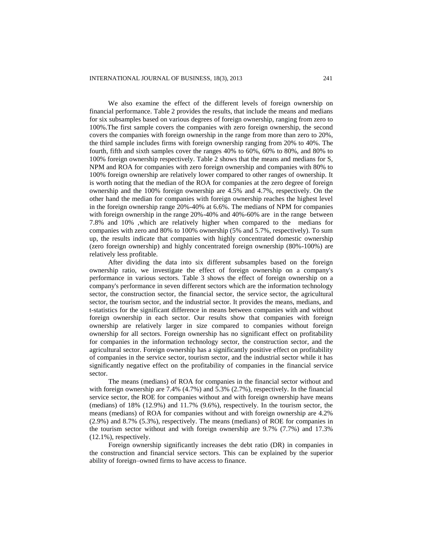We also examine the effect of the different levels of foreign ownership on financial performance. Table 2 provides the results, that include the means and medians for six subsamples based on various degrees of foreign ownership, ranging from zero to 100%.The first sample covers the companies with zero foreign ownership, the second covers the companies with foreign ownership in the range from more than zero to 20%, the third sample includes firms with foreign ownership ranging from 20% to 40%. The fourth, fifth and sixth samples cover the ranges 40% to 60%, 60% to 80%, and 80% to 100% foreign ownership respectively. Table 2 shows that the means and medians for S, NPM and ROA for companies with zero foreign ownership and companies with 80% to 100% foreign ownership are relatively lower compared to other ranges of ownership. It is worth noting that the median of the ROA for companies at the zero degree of foreign ownership and the 100% foreign ownership are 4.5% and 4.7%, respectively. On the other hand the median for companies with foreign ownership reaches the highest level in the foreign ownership range 20%-40% at 6.6%. The medians of NPM for companies with foreign ownership in the range 20%-40% and 40%-60% are in the range between 7.8% and 10% ,which are relatively higher when compared to the medians for companies with zero and 80% to 100% ownership (5% and 5.7%, respectively). To sum up, the results indicate that companies with highly concentrated domestic ownership (zero foreign ownership) and highly concentrated foreign ownership (80%-100%) are relatively less profitable.

After dividing the data into six different subsamples based on the foreign ownership ratio, we investigate the effect of foreign ownership on a company's performance in various sectors. Table 3 shows the effect of foreign ownership on a company's performance in seven different sectors which are the information technology sector, the construction sector, the financial sector, the service sector, the agricultural sector, the tourism sector, and the industrial sector. It provides the means, medians, and t-statistics for the significant difference in means between companies with and without foreign ownership in each sector. Our results show that companies with foreign ownership are relatively larger in size compared to companies without foreign ownership for all sectors. Foreign ownership has no significant effect on profitability for companies in the information technology sector, the construction sector, and the agricultural sector. Foreign ownership has a significantly positive effect on profitability of companies in the service sector, tourism sector, and the industrial sector while it has significantly negative effect on the profitability of companies in the financial service sector.

The means (medians) of ROA for companies in the financial sector without and with foreign ownership are 7.4% (4.7%) and 5.3% (2.7%), respectively. In the financial service sector, the ROE for companies without and with foreign ownership have means (medians) of 18% (12.9%) and 11.7% (9.6%), respectively. In the tourism sector, the means (medians) of ROA for companies without and with foreign ownership are 4.2% (2.9%) and 8.7% (5.3%), respectively. The means (medians) of ROE for companies in the tourism sector without and with foreign ownership are 9.7% (7.7%) and 17.3% (12.1%), respectively.

Foreign ownership significantly increases the debt ratio (DR) in companies in the construction and financial service sectors. This can be explained by the superior ability of foreign–owned firms to have access to finance.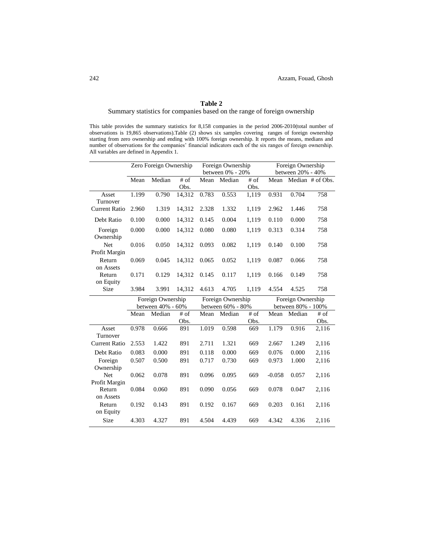## **Table 2**

Summary statistics for companies based on the range of foreign ownership

This table provides the summary statistics for 8,158 companies in the period 2006-2010(total number of observations is 19,865 observations).Table (2) shows six samples covering ranges of foreign ownership starting from zero ownership and ending with 100% foreign ownership. It reports the means, medians and number of observations for the companies' financial indicators each of the six ranges of foreign ownership. All variables are defined in Appendix 1.

|                             | Zero Foreign Ownership |                   |              | Foreign Ownership<br>between 0% - 20% |        |                | Foreign Ownership<br>between 20% - 40% |                   |                  |
|-----------------------------|------------------------|-------------------|--------------|---------------------------------------|--------|----------------|----------------------------------------|-------------------|------------------|
|                             | Mean                   | Median            | # of<br>Obs. | Mean                                  | Median | # of<br>Obs.   | Mean                                   |                   | Median # of Obs. |
| Asset<br>Turnover           | 1.199                  | 0.790             | 14,312       | 0.783                                 | 0.553  | 1,119          | 0.931                                  | 0.704             | 758              |
| <b>Current Ratio</b>        | 2.960                  | 1.319             | 14,312       | 2.328                                 | 1.332  | 1,119          | 2.962                                  | 1.446             | 758              |
| Debt Ratio                  | 0.100                  | 0.000             | 14,312       | 0.145                                 | 0.004  | 1,119          | 0.110                                  | 0.000             | 758              |
| Foreign<br>Ownership        | 0.000                  | 0.000             | 14,312       | 0.080                                 | 0.080  | 1,119          | 0.313                                  | 0.314             | 758              |
| <b>Net</b><br>Profit Margin | 0.016                  | 0.050             | 14,312       | 0.093                                 | 0.082  | 1,119          | 0.140                                  | 0.100             | 758              |
| Return<br>on Assets         | 0.069                  | 0.045             | 14,312       | 0.065                                 | 0.052  | 1,119          | 0.087                                  | 0.066             | 758              |
| Return<br>on Equity         | 0.171                  | 0.129             | 14,312       | 0.145                                 | 0.117  | 1,119          | 0.166                                  | 0.149             | 758              |
| <b>Size</b>                 | 3.984                  | 3.991             | 14,312       | 4.613                                 | 4.705  | 1,119          | 4.554                                  | 4.525             | 758              |
|                             |                        | Foreign Ownership |              | Foreign Ownership                     |        |                |                                        | Foreign Ownership |                  |
|                             |                        | between 40% - 60% |              | between 60% - 80%                     |        |                | between 80% - 100%                     |                   |                  |
|                             | Mean                   | Median            | # of<br>Obs. | Mean                                  | Median | $#$ of<br>Obs. | Mean                                   | Median            | # of<br>Obs.     |
| Asset<br>Turnover           | 0.978                  | 0.666             | 891          | 1.019                                 | 0.598  | 669            | 1.179                                  | 0.916             | 2,116            |
| <b>Current Ratio</b>        | 2.553                  | 1.422             | 891          | 2.711                                 | 1.321  | 669            | 2.667                                  | 1.249             | 2,116            |
| Debt Ratio                  | 0.083                  | 0.000             | 891          | 0.118                                 | 0.000  | 669            | 0.076                                  | 0.000             | 2,116            |
| Foreign<br>Ownership        | 0.507                  | 0.500             | 891          | 0.717                                 | 0.730  | 669            | 0.973                                  | 1.000             | 2,116            |
| <b>Net</b><br>Profit Margin | 0.062                  | 0.078             | 891          | 0.096                                 | 0.095  | 669            | $-0.058$                               | 0.057             | 2,116            |
| Return<br>on Assets         | 0.084                  | 0.060             | 891          | 0.090                                 | 0.056  | 669            | 0.078                                  | 0.047             | 2,116            |
| Return<br>on Equity         | 0.192                  | 0.143             | 891          | 0.192                                 | 0.167  | 669            | 0.203                                  | 0.161             | 2,116            |
| <b>Size</b>                 | 4.303                  | 4.327             | 891          | 4.504                                 | 4.439  | 669            | 4.342                                  | 4.336             | 2,116            |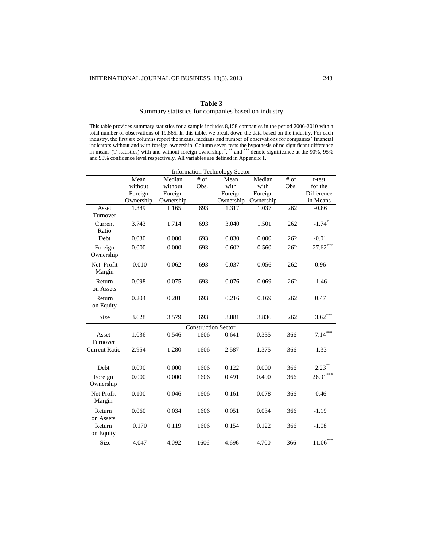#### **Table 3**

# Summary statistics for companies based on industry

This table provides summary statistics for a sample includes 8,158 companies in the period 2006-2010 with a total number of observations of 19,865. In this table, we break down the data based on the industry. For each industry, the first six columns report the means, medians and number of observations for companies' financial indicators without and with foreign ownership. Column seven tests the hypothesis of no significant difference in means (T-statistics) with and without foreign ownership. \*, \*\*\* and \*\*\* denote significance at the 90%, 95% and 99% confidence level respectively. All variables are defined in Appendix 1.

| <b>Information Technology Sector</b> |                            |                              |                            |                         |                           |                |                                 |
|--------------------------------------|----------------------------|------------------------------|----------------------------|-------------------------|---------------------------|----------------|---------------------------------|
|                                      | Mean<br>without<br>Foreign | Median<br>without<br>Foreign | # of<br>Obs.               | Mean<br>with<br>Foreign | Median<br>with<br>Foreign | $#$ of<br>Obs. | t-test<br>for the<br>Difference |
|                                      | Ownership                  | Ownership                    |                            | Ownership               | Ownership                 |                | in Means                        |
| Asset<br>Turnover                    | 1.389                      | 1.165                        | 693                        | 1.317                   | 1.037                     | 262            | $-0.86$                         |
| Current<br>Ratio                     | 3.743                      | 1.714                        | 693                        | 3.040                   | 1.501                     | 262            | $-1.74$ <sup>*</sup>            |
| Debt                                 | 0.030                      | 0.000                        | 693                        | 0.030                   | 0.000                     | 262            | $-0.01$                         |
| Foreign<br>Ownership                 | 0.000                      | 0.000                        | 693                        | 0.602                   | 0.560                     | 262            | $27.62***$                      |
| Net Profit<br>Margin                 | $-0.010$                   | 0.062                        | 693                        | 0.037                   | 0.056                     | 262            | 0.96                            |
| Return<br>on Assets                  | 0.098                      | 0.075                        | 693                        | 0.076                   | 0.069                     | 262            | $-1.46$                         |
| Return<br>on Equity                  | 0.204                      | 0.201                        | 693                        | 0.216                   | 0.169                     | 262            | 0.47                            |
| <b>Size</b>                          | 3.628                      | 3.579                        | 693                        | 3.881                   | 3.836                     | 262            | $3.62***$                       |
|                                      |                            |                              | <b>Construction Sector</b> |                         |                           |                |                                 |
| Asset<br>Turnover                    | 1.036                      | 0.546                        | 1606                       | 0.641                   | 0.335                     | 366            | $-7.14$                         |
| <b>Current Ratio</b>                 | 2.954                      | 1.280                        | 1606                       | 2.587                   | 1.375                     | 366            | $-1.33$                         |
| Debt                                 | 0.090                      | 0.000                        | 1606                       | 0.122                   | 0.000                     | 366            | $2.23***$                       |
| Foreign<br>Ownership                 | 0.000                      | 0.000                        | 1606                       | 0.491                   | 0.490                     | 366            | $26.91***$                      |
| Net Profit<br>Margin                 | 0.100                      | 0.046                        | 1606                       | 0.161                   | 0.078                     | 366            | 0.46                            |
| Return<br>on Assets                  | 0.060                      | 0.034                        | 1606                       | 0.051                   | 0.034                     | 366            | $-1.19$                         |
| Return<br>on Equity                  | 0.170                      | 0.119                        | 1606                       | 0.154                   | 0.122                     | 366            | $-1.08$                         |
| Size                                 | 4.047                      | 4.092                        | 1606                       | 4.696                   | 4.700                     | 366            | $11.06***$                      |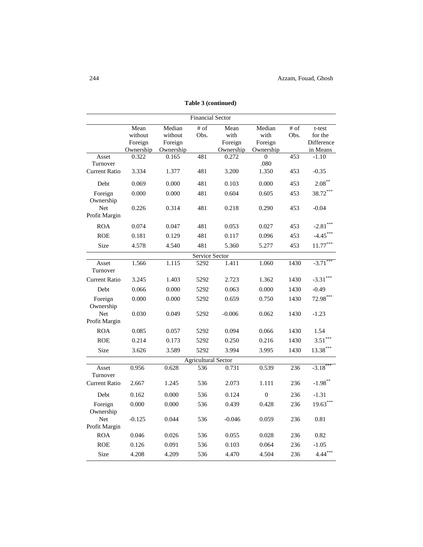|                                  |                            |                              | <b>Financial Sector</b>    |                         |                           |              |                                 |
|----------------------------------|----------------------------|------------------------------|----------------------------|-------------------------|---------------------------|--------------|---------------------------------|
|                                  | Mean<br>without<br>Foreign | Median<br>without<br>Foreign | # of<br>Obs.               | Mean<br>with<br>Foreign | Median<br>with<br>Foreign | # of<br>Obs. | t-test<br>for the<br>Difference |
| Asset                            | Ownership<br>0.322         | Ownership<br>0.165           | 481                        | Ownership<br>0.272      | Ownership<br>$\theta$     | 453          | in Means<br>$-1.10$             |
| Turnover<br><b>Current Ratio</b> | 3.334                      | 1.377                        | 481                        | 3.200                   | .080<br>1.350             | 453          | $-0.35$                         |
| Debt                             | 0.069                      | 0.000                        | 481                        | 0.103                   | 0.000                     | 453          | $2.08***$                       |
| Foreign<br>Ownership             | 0.000                      | 0.000                        | 481                        | 0.604                   | 0.605                     | 453          | 38.72***                        |
| Net<br>Profit Margin             | 0.226                      | 0.314                        | 481                        | 0.218                   | 0.290                     | 453          | $-0.04$                         |
| <b>ROA</b>                       | 0.074                      | 0.047                        | 481                        | 0.053                   | 0.027                     | 453          | $-2.81$                         |
| <b>ROE</b>                       | 0.181                      | 0.129                        | 481                        | 0.117                   | 0.096                     | 453          | $-4.45***$                      |
| Size                             | 4.578                      | 4.540                        | 481                        | 5.360                   | 5.277                     | 453          | $11.77***$                      |
|                                  |                            |                              | Service Sector             |                         |                           |              |                                 |
| Asset<br>Turnover                | 1.566                      | 1.115                        | 5292                       | 1.411                   | 1.060                     | 1430         | $-3.71$                         |
| <b>Current Ratio</b>             | 3.245                      | 1.403                        | 5292                       | 2.723                   | 1.362                     | 1430         | $-3.31***$                      |
| Debt                             | 0.066                      | 0.000                        | 5292                       | 0.063                   | 0.000                     | 1430         | $-0.49$                         |
| Foreign<br>Ownership             | 0.000                      | 0.000                        | 5292                       | 0.659                   | 0.750                     | 1430         | $72.98***$                      |
| Net<br>Profit Margin             | 0.030                      | 0.049                        | 5292                       | $-0.006$                | 0.062                     | 1430         | $-1.23$                         |
| <b>ROA</b>                       | 0.085                      | 0.057                        | 5292                       | 0.094                   | 0.066                     | 1430         | 1.54                            |
| <b>ROE</b>                       | 0.214                      | 0.173                        | 5292                       | 0.250                   | 0.216                     | 1430         | $3.51***$                       |
| Size                             | 3.626                      | 3.589                        | 5292                       | 3.994                   | 3.995                     | 1430         | $13.38***$                      |
|                                  |                            |                              | <b>Agricultural Sector</b> |                         |                           |              |                                 |
| Asset<br>Turnover                | 0.956                      | 0.628                        | 536                        | 0.731                   | 0.539                     | 236          | $-3.18^{\circ}$                 |
| <b>Current Ratio</b>             | 2.667                      | 1.245                        | 536                        | 2.073                   | 1.111                     | 236          | $-1.98***$                      |
| Debt                             | 0.162                      | 0.000                        | 536                        | 0.124                   | $\overline{0}$            | 236          | $-1.31$                         |
| Foreign<br>Ownership             | 0.000                      | 0.000                        | 536                        | 0.439                   | 0.428                     | 236          | $19.63***$                      |
| <b>Net</b><br>Profit Margin      | $-0.125$                   | 0.044                        | 536                        | $-0.046$                | 0.059                     | 236          | 0.81                            |
| <b>ROA</b>                       | 0.046                      | 0.026                        | 536                        | 0.055                   | 0.028                     | 236          | 0.82                            |
| <b>ROE</b>                       | 0.126                      | 0.091                        | 536                        | 0.103                   | 0.064                     | 236          | $-1.05$                         |
| Size                             | 4.208                      | 4.209                        | 536                        | 4.470                   | 4.504                     | 236          | $4.44***$                       |

**Table 3 (continued)**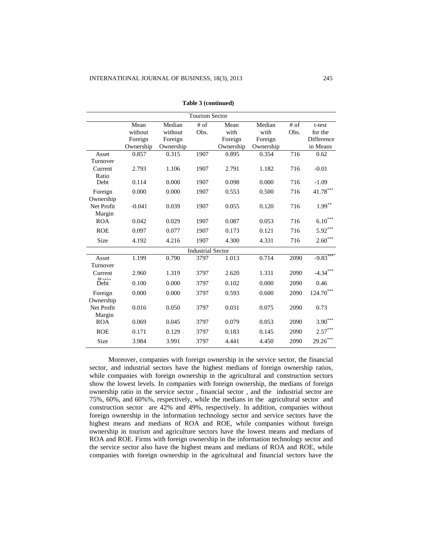|                        |           |           | <b>Tourism Sector</b>    |           |           |        |                      |
|------------------------|-----------|-----------|--------------------------|-----------|-----------|--------|----------------------|
|                        | Mean      | Median    | $#$ of                   | Mean      | Median    | $#$ of | t-test               |
|                        | without   | without   | Obs.                     | with      | with      | Obs.   | for the              |
|                        | Foreign   | Foreign   |                          | Foreign   | Foreign   |        | Difference           |
|                        | Ownership | Ownership |                          | Ownership | Ownership |        | in Means             |
| Asset<br>Turnover      | 0.857     | 0.315     | 1907                     | 0.895     | 0.354     | 716    | 0.62                 |
| Current<br>Ratio       | 2.793     | 1.106     | 1907                     | 2.791     | 1.182     | 716    | $-0.01$              |
| Debt                   | 0.114     | 0.000     | 1907                     | 0.098     | 0.000     | 716    | $-1.09$              |
| Foreign<br>Ownership   | 0.000     | 0.000     | 1907                     | 0.553     | 0.500     | 716    | $41.78***$           |
| Net Profit<br>Margin   | $-0.041$  | 0.039     | 1907                     | 0.055     | 0.120     | 716    | $1.99***$            |
| <b>ROA</b>             | 0.042     | 0.029     | 1907                     | 0.087     | 0.053     | 716    | $6.10***$            |
| <b>ROE</b>             | 0.097     | 0.077     | 1907                     | 0.173     | 0.121     | 716    | $5.92***$            |
| <b>Size</b>            | 4.192     | 4.216     | 1907                     | 4.300     | 4.331     | 716    | $2.60***$            |
|                        |           |           | <b>Industrial Sector</b> |           |           |        |                      |
| Asset<br>Turnover      | 1.199     | 0.790     | 3797                     | 1.013     | 0.714     | 2090   | $-9.83$ <sup>*</sup> |
| Current                | 2.960     | 1.319     | 3797                     | 2.620     | 1.331     | 2090   | $-4.34***$           |
| D <sub>0</sub><br>Debt | 0.100     | 0.000     | 3797                     | 0.102     | 0.000     | 2090   | 0.46                 |
| Foreign<br>Ownership   | 0.000     | 0.000     | 3797                     | 0.593     | 0.600     | 2090   | $124.70***$          |
| Net Profit<br>Margin   | 0.016     | 0.050     | 3797                     | 0.031     | 0.075     | 2090   | 0.73                 |
| <b>ROA</b>             | 0.069     | 0.045     | 3797                     | 0.079     | 0.053     | 2090   | $3.90***$            |
| <b>ROE</b>             | 0.171     | 0.129     | 3797                     | 0.183     | 0.145     | 2090   | $2.57***$            |
| Size                   | 3.984     | 3.991     | 3797                     | 4.441     | 4.450     | 2090   | $29.26***$           |

**Table 3 (continued)**

Moreover, companies with foreign ownership in the service sector, the financial sector, and industrial sectors have the highest medians of foreign ownership ratios, while companies with foreign ownership in the agricultural and construction sectors show the lowest levels. In companies with foreign ownership, the medians of foreign ownership ratio in the service sector , financial sector , and the industrial sector are 75%, 60%, and 60%%, respectively, while the medians in the agricultural sector and construction sector are 42% and 49%, respectively. In addition, companies without foreign ownership in the information technology sector and service sectors have the highest means and medians of ROA and ROE, while companies without foreign ownership in tourism and agriculture sectors have the lowest means and medians of ROA and ROE. Firms with foreign ownership in the information technology sector and the service sector also have the highest means and medians of ROA and ROE, while companies with foreign ownership in the agricultural and financial sectors have the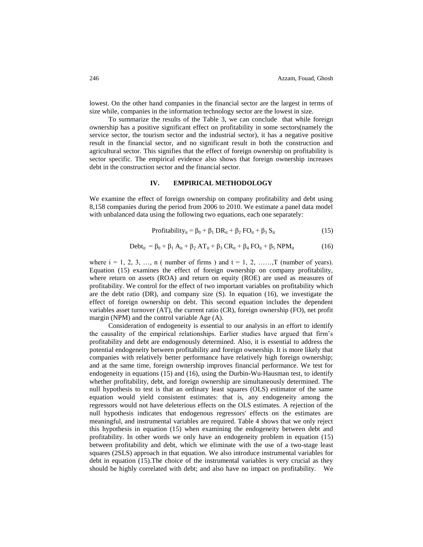lowest. On the other hand companies in the financial sector are the largest in terms of size while, companies in the information technology sector are the lowest in size.

To summarize the results of the Table 3, we can conclude that while foreign ownership has a positive significant effect on profitability in some sectors(namely the service sector, the tourism sector and the industrial sector), it has a negative positive result in the financial sector, and no significant result in both the construction and agricultural sector. This signifies that the effect of foreign ownership on profitability is sector specific. The empirical evidence also shows that foreign ownership increases debt in the construction sector and the financial sector.

## **IV. EMPIRICAL METHODOLOGY**

We examine the effect of foreign ownership on company profitability and debt using 8,158 companies during the period from 2006 to 2010. We estimate a panel data model with unbalanced data using the following two equations, each one separately:

$$
Profitability_{it} = \beta_0 + \beta_1 DR_{it} + \beta_2 FO_{it} + \beta_3 S_{it}
$$
 (15)

$$
Debt_{it} = \beta_0 + \beta_1 A_{it} + \beta_2 AT_{it} + \beta_3 CR_{it} + \beta_4 FO_{it} + \beta_5 NPM_{it}
$$
 (16)

where  $i = 1, 2, 3, \ldots, n$  ( number of firms ) and  $t = 1, 2, \ldots, T$  (number of years). Equation (15) examines the effect of foreign ownership on company profitability, where return on assets (ROA) and return on equity (ROE) are used as measures of profitability. We control for the effect of two important variables on profitability which are the debt ratio (DR), and company size (S). In equation (16), we investigate the effect of foreign ownership on debt. This second equation includes the dependent variables asset turnover (AT), the current ratio (CR), foreign ownership (FO), net profit margin (NPM) and the control variable Age (A).

Consideration of endogeneity is essential to our analysis in an effort to identify the causality of the empirical relationships. Earlier studies have argued that firm's profitability and debt are endogenously determined. Also, it is essential to address the potential endogeneity between profitability and foreign ownership. It is more likely that companies with relatively better performance have relatively high foreign ownership; and at the same time, foreign ownership improves financial performance. We test for endogeneity in equations (15) and (16), using the Durbin-Wu-Hausman test, to identify whether profitability, debt, and foreign ownership are simultaneously determined. The null hypothesis to test is that an ordinary least squares (OLS) estimator of the same equation would yield consistent estimates: that is, any endogeneity among the regressors would not have deleterious effects on the OLS estimates. A rejection of the null hypothesis indicates that endogenous regressors' effects on the estimates are meaningful, and instrumental variables are required. Table 4 shows that we only reject this hypothesis in equation (15) when examining the endogeneity between debt and profitability. In other words we only have an endogeneity problem in equation (15) between profitability and debt, which we eliminate with the use of a two-stage least squares (2SLS) approach in that equation. We also introduce instrumental variables for debt in equation (15).The choice of the instrumental variables is very crucial as they should be highly correlated with debt; and also have no impact on profitability. We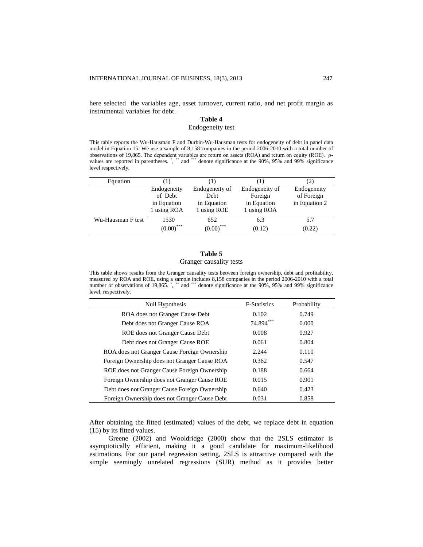here selected the variables age, asset turnover, current ratio, and net profit margin as instrumental variables for debt.

#### **Table 4** Endogeneity test

This table reports the Wu-Hausman F and Durbin-Wu-Hausman tests for endogeneity of debt in panel data model in Equation 15. We use a sample of 8,158 companies in the period 2006-2010 with a total number of observations of 19,865. The dependent variables are return on assets (ROA) and return on equity (ROE). ρvalues are reported in parentheses. ", "\* and \*\*\* denote significance at the 90%, 95% and 99% significance level respectively.

| Equation          |                                                      |                                                      | $\mathbf{I}$                                            | $\angle$                                   |
|-------------------|------------------------------------------------------|------------------------------------------------------|---------------------------------------------------------|--------------------------------------------|
|                   | Endogeneity<br>of Debt<br>in Equation<br>1 using ROA | Endogeneity of<br>Debt<br>in Equation<br>1 using ROE | Endogeneity of<br>Foreign<br>in Equation<br>1 using ROA | Endogeneity<br>of Foreign<br>in Equation 2 |
| Wu-Hausman F test | 1530<br>$(0.00)$ ***                                 | 652<br>$(0.00)$ ***                                  | 6.3<br>(0.12)                                           | 5.7<br>(0.22)                              |

## **Table 5**

#### Granger causality tests

This table shows results from the Granger causality tests between foreign ownership, debt and profitability, measured by ROA and ROE, using a sample includes 8,158 companies in the period 2006-2010 with a total number of observations of 19,865. ", "\*\* and \*\*\* denote significance at the 90%, 95% and 99% significance level, respectively.

| Null Hypothesis                               | <b>F-Statistics</b> | Probability |
|-----------------------------------------------|---------------------|-------------|
| ROA does not Granger Cause Debt               | 0.102               | 0.749       |
| Debt does not Granger Cause ROA               | 74.894***           | 0.000       |
| ROE does not Granger Cause Debt               | 0.008               | 0.927       |
| Debt does not Granger Cause ROE               | 0.061               | 0.804       |
| ROA does not Granger Cause Foreign Ownership  | 2.244               | 0.110       |
| Foreign Ownership does not Granger Cause ROA  | 0.362               | 0.547       |
| ROE does not Granger Cause Foreign Ownership  | 0.188               | 0.664       |
| Foreign Ownership does not Granger Cause ROE  | 0.015               | 0.901       |
| Debt does not Granger Cause Foreign Ownership | 0.640               | 0.423       |
| Foreign Ownership does not Granger Cause Debt | 0.031               | 0.858       |

After obtaining the fitted (estimated) values of the debt, we replace debt in equation (15) by its fitted values.

 $\mathbf{r}$ 

Greene (2002) and Wooldridge (2000) show that the 2SLS estimator is asymptotically efficient, making it a good candidate for maximum-likelihood estimations. For our panel regression setting, 2SLS is attractive compared with the simple seemingly unrelated regressions (SUR) method as it provides better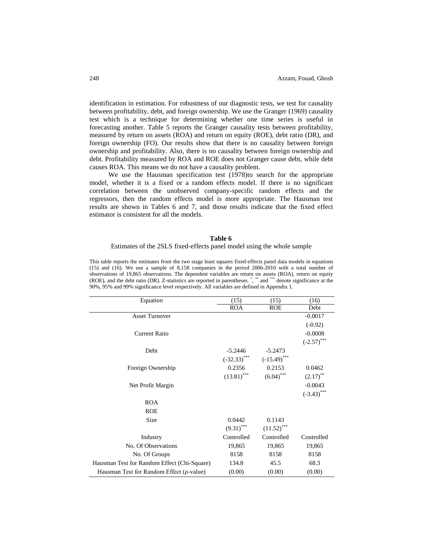identification in estimation. For robustness of our diagnostic tests, we test for causality between profitability, debt, and foreign ownership. We use the Granger (1969) causality test which is a technique for determining whether one time series is useful in forecasting another. Table 5 reports the Granger causality tests between profitability, measured by return on assets (ROA) and return on equity (ROE), debt ratio (DR), and foreign ownership (FO). Our results show that there is no causality between foreign ownership and profitability. Also, there is no causality between foreign ownership and debt. Profitability measured by ROA and ROE does not Granger cause debt, while debt causes ROA. This means we do not have a causality problem.

We use the Hausman specification test (1978)to search for the appropriate model, whether it is a fixed or a random effects model. If there is no significant correlation between the unobserved company-specific random effects and the regressors, then the random effects model is more appropriate. The Hausman test results are shown in Tables 6 and 7, and those results indicate that the fixed effect estimator is consistent for all the models.

#### **Table 6**

## Estimates of the 2SLS fixed-effects panel model using the whole sample

This table reports the estimates from the two stage least squares fixed-effects panel data models in equations (15) and (16). We use a sample of 8,158 companies in the period 2006-2010 with a total number of observations of 19,865 observations. The dependent variables are return on assets (ROA), return on equity (ROE), and the debt ratio (DR). Z-statistics are reported in parentheses. \*, \*\* and \*\*\* denote significance at the 90%, 95% and 99% significance level respectively. All variables are defined in Appendix 1.

| Equation                                        | (15)           | (15)           | (16)                   |
|-------------------------------------------------|----------------|----------------|------------------------|
|                                                 | <b>ROA</b>     | <b>ROE</b>     | Debt                   |
| <b>Asset Turnover</b>                           |                |                | $-0.0017$              |
|                                                 |                |                | $(-0.92)$              |
| <b>Current Ratio</b>                            |                |                | $-0.0008$              |
|                                                 |                |                | $(-2.57)$ ***          |
| Debt                                            | $-5.2446$      | $-5.2473$      |                        |
|                                                 | $(-32.33)$ *** | $(-15.49)$ *** |                        |
| Foreign Ownership                               | 0.2356         | 0.2153         | 0.0462                 |
|                                                 | $(13.81)$ ***  | $(6.04)$ ***   | $(2.17)$ <sup>**</sup> |
| Net Profit Margin                               |                |                | $-0.0043$              |
|                                                 |                |                | $(-3.43)$ ***          |
| <b>ROA</b>                                      |                |                |                        |
| <b>ROE</b>                                      |                |                |                        |
| Size                                            | 0.0442         | 0.1143         |                        |
|                                                 | $(9.31)$ ***   | $(11.52)$ ***  |                        |
| Industry                                        | Controlled     | Controlled     | Controlled             |
| No. Of Observations                             | 19,865         | 19,865         | 19,865                 |
| No. Of Groups                                   | 8158           | 8158           | 8158                   |
| Hausman Test for Random Effect (Chi-Square)     | 134.8          | 45.5           | 68.3                   |
| Hausman Test for Random Effect ( $\rho$ -value) | (0.00)         | (0.00)         | (0.00)                 |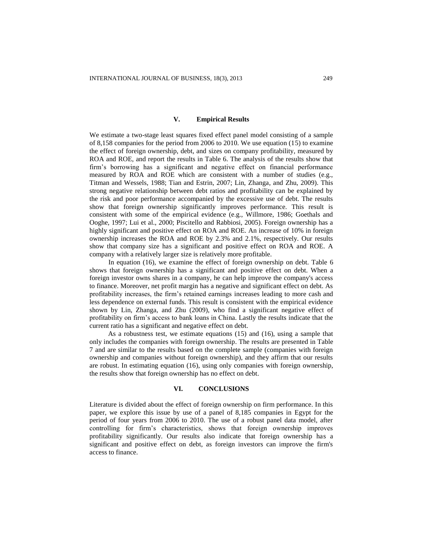## **V. Empirical Results**

We estimate a two-stage least squares fixed effect panel model consisting of a sample of 8,158 companies for the period from 2006 to 2010. We use equation (15) to examine the effect of foreign ownership, debt, and sizes on company profitability, measured by ROA and ROE, and report the results in Table 6. The analysis of the results show that firm's borrowing has a significant and negative effect on financial performance measured by ROA and ROE which are consistent with a number of studies (e.g., Titman and Wessels, 1988; Tian and Estrin, 2007; Lin, Zhanga, and Zhu, 2009). This strong negative relationship between debt ratios and profitability can be explained by the risk and poor performance accompanied by the excessive use of debt. The results show that foreign ownership significantly improves performance. This result is consistent with some of the empirical evidence (e.g., Willmore, 1986; Goethals and Ooghe, 1997; Lui et al., 2000; Piscitello and Rabbiosi, 2005). Foreign ownership has a highly significant and positive effect on ROA and ROE. An increase of 10% in foreign ownership increases the ROA and ROE by 2.3% and 2.1%, respectively. Our results show that company size has a significant and positive effect on ROA and ROE. A company with a relatively larger size is relatively more profitable.

In equation (16), we examine the effect of foreign ownership on debt. Table 6 shows that foreign ownership has a significant and positive effect on debt. When a foreign investor owns shares in a company, he can help improve the company's access to finance. Moreover, net profit margin has a negative and significant effect on debt. As profitability increases, the firm's retained earnings increases leading to more cash and less dependence on external funds. This result is consistent with the empirical evidence shown by Lin, Zhanga, and Zhu (2009), who find a significant negative effect of profitability on firm's access to bank loans in China. Lastly the results indicate that the current ratio has a significant and negative effect on debt.

As a robustness test, we estimate equations (15) and (16), using a sample that only includes the companies with foreign ownership. The results are presented in Table 7 and are similar to the results based on the complete sample (companies with foreign ownership and companies without foreign ownership), and they affirm that our results are robust. In estimating equation (16), using only companies with foreign ownership, the results show that foreign ownership has no effect on debt.

#### **VI. CONCLUSIONS**

Literature is divided about the effect of foreign ownership on firm performance. In this paper, we explore this issue by use of a panel of 8,185 companies in Egypt for the period of four years from 2006 to 2010. The use of a robust panel data model, after controlling for firm's characteristics, shows that foreign ownership improves profitability significantly. Our results also indicate that foreign ownership has a significant and positive effect on debt, as foreign investors can improve the firm's access to finance.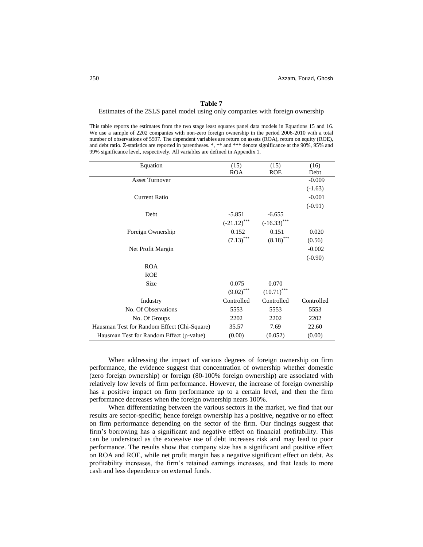#### **Table 7**

Estimates of the 2SLS panel model using only companies with foreign ownership

This table reports the estimates from the two stage least squares panel data models in Equations 15 and 16. We use a sample of 2202 companies with non-zero foreign ownership in the period 2006-2010 with a total number of observations of 5597. The dependent variables are return on assets (ROA), return on equity (ROE), and debt ratio. Z-statistics are reported in parentheses. \*, \*\* and \*\*\* denote significance at the 90%, 95% and 99% significance level, respectively. All variables are defined in Appendix 1.

| Equation                                       | (15)           | (15)           | (16)       |
|------------------------------------------------|----------------|----------------|------------|
|                                                | <b>ROA</b>     | ROE            | Debt       |
| <b>Asset Turnover</b>                          |                |                | $-0.009$   |
|                                                |                |                | $(-1.63)$  |
| <b>Current Ratio</b>                           |                |                | $-0.001$   |
|                                                |                |                | $(-0.91)$  |
| Debt                                           | $-5.851$       | $-6.655$       |            |
|                                                | $(-21.12)$ *** | $(-16.33)$ *** |            |
| Foreign Ownership                              | 0.152          | 0.151          | 0.020      |
|                                                | $(7.13)$ ***   | $(.8.18)$ ***  | (0.56)     |
| Net Profit Margin                              |                |                | $-0.002$   |
|                                                |                |                | $(-0.90)$  |
| <b>ROA</b>                                     |                |                |            |
| <b>ROE</b>                                     |                |                |            |
| Size                                           | 0.075          | 0.070          |            |
|                                                | $(9.02)$ ***   | $(10.71)$ ***  |            |
| Industry                                       | Controlled     | Controlled     | Controlled |
| No. Of Observations                            | 5553           | 5553           | 5553       |
| No. Of Groups                                  | 2202           | 2202           | 2202       |
| Hausman Test for Random Effect (Chi-Square)    | 35.57          | 7.69           | 22.60      |
| Hausman Test for Random Effect $(\rho$ -value) | (0.00)         | (0.052)        | (0.00)     |

When addressing the impact of various degrees of foreign ownership on firm performance, the evidence suggest that concentration of ownership whether domestic (zero foreign ownership) or foreign (80-100% foreign ownership) are associated with relatively low levels of firm performance. However, the increase of foreign ownership has a positive impact on firm performance up to a certain level, and then the firm performance decreases when the foreign ownership nears 100%.

When differentiating between the various sectors in the market, we find that our results are sector-specific; hence foreign ownership has a positive, negative or no effect on firm performance depending on the sector of the firm. Our findings suggest that firm's borrowing has a significant and negative effect on financial profitability. This can be understood as the excessive use of debt increases risk and may lead to poor performance. The results show that company size has a significant and positive effect on ROA and ROE, while net profit margin has a negative significant effect on debt. As profitability increases, the firm's retained earnings increases, and that leads to more cash and less dependence on external funds.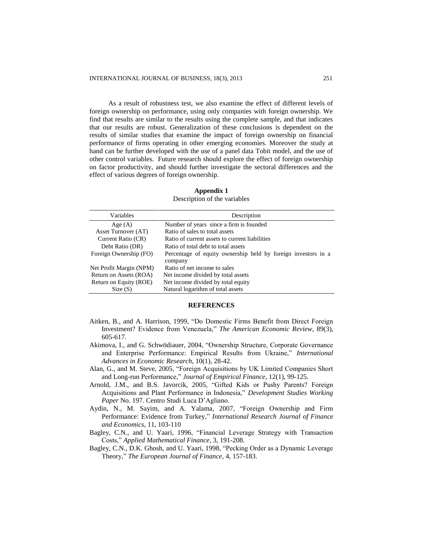As a result of robustness test, we also examine the effect of different levels of foreign ownership on performance, using only companies with foreign ownership. We find that results are similar to the results using the complete sample, and that indicates that our results are robust. Generalization of these conclusions is dependent on the results of similar studies that examine the impact of foreign ownership on financial performance of firms operating in other emerging economies. Moreover the study at hand can be further developed with the use of a panel data Tobit model, and the use of other control variables. Future research should explore the effect of foreign ownership on factor productivity, and should further investigate the sectoral differences and the effect of various degrees of foreign ownership.

| Variables               | Description                                                              |
|-------------------------|--------------------------------------------------------------------------|
| Age $(A)$               | Number of years since a firm is founded                                  |
| Asset Turnover (AT)     | Ratio of sales to total assets                                           |
| Current Ratio (CR)      | Ratio of current assets to current liabilities                           |
| Debt Ratio (DR)         | Ratio of total debt to total assets                                      |
| Foreign Ownership (FO)  | Percentage of equity ownership held by foreign investors in a<br>company |
| Net Profit Margin (NPM) | Ratio of net income to sales                                             |
| Return on Assets (ROA)  | Net income divided by total assets                                       |
| Return on Equity (ROE)  | Net income divided by total equity                                       |
| Size(S)                 | Natural logarithm of total assets                                        |

**Appendix 1** Description of the variables

#### **REFERENCES**

- Aitken, B., and A. Harrison, 1999, "Do Domestic Firms Benefit from Direct Foreign Investment? Evidence from Venezuela," *The American Economic Review*, 89(3), 605-617.
- Akimova, I., and G. Schwödiauer, 2004, "Ownership Structure, Corporate Governance and Enterprise Performance: Empirical Results from Ukraine," *International Advances in Economic Research*, 10(1), 28-42.
- Alan, G., and M. Steve, 2005, "Foreign Acquisitions by UK Limited Companies Short and Long-run Performance," *Journal of Empirical Finance*, 12(1), 99-125.
- Arnold, J.M., and B.S. Javorcik, 2005, "Gifted Kids or Pushy Parents? Foreign Acquisitions and Plant Performance in Indonesia," *Development Studies Working Paper* No. 197. Centro Studi Luca D'Agliano.
- Aydin, N., M. Sayim, and A. Yalama, 2007, "Foreign Ownership and Firm Performance: Evidence from Turkey," *International Research Journal of Finance and Economics*, 11, 103-110
- Bagley, C.N., and U. Yaari, 1996, "Financial Leverage Strategy with Transaction Costs," *Applied Mathematical Finance*, 3, 191-208.
- Bagley, C.N., D.K. Ghosh, and U. Yaari, 1998, "Pecking Order as a Dynamic Leverage Theory," *The European Journal of Finance*, 4, 157-183.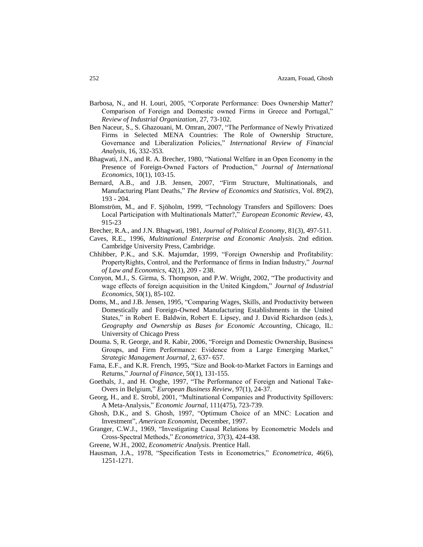- Barbosa, N., and H. Louri, 2005, "Corporate Performance: Does Ownership Matter? Comparison of Foreign and Domestic owned Firms in Greece and Portugal," *Review of Industrial Organization*, 27, 73-102.
- Ben Naceur, S., S. Ghazouani, M. Omran, 2007, "The Performance of Newly Privatized Firms in Selected MENA Countries: The Role of Ownership Structure, Governance and Liberalization Policies," *International Review of Financial Analysis*, 16, 332-353.
- Bhagwati, J.N., and R. A. Brecher, 1980, "National Welfare in an Open Economy in the Presence of Foreign-Owned Factors of Production," *Journal of International Economics*, 10(1), 103-15.
- Bernard, A.B., and J.B. Jensen, 2007, ["Firm Structure, Multinationals, and](http://ideas.repec.org/a/tpr/restat/v89y2007i2p193-204.html)  [Manufacturing Plant Deaths,](http://ideas.repec.org/a/tpr/restat/v89y2007i2p193-204.html)" *[The Review of Economics and Statistics](http://ideas.repec.org/s/tpr/restat.html)*, Vol. 89(2), 193 - 204.
- Blomström, M., and F. Sjöholm, 1999, "Technology Transfers and Spillovers: Does Local Participation with Multinationals Matter?," *European Economic Review*, 43, 915-23
- Brecher, R.A., and J.N. Bhagwati, 1981, *Journal of Political Economy*, 81(3), 497-511.
- Caves, R.E., 1996, *Multinational Enterprise and Economic Analysis*. 2nd edition. Cambridge University Press, Cambridge.
- Chhibber, P.K., and S.K. Majumdar, 1999, "Foreign Ownership and Profitability: PropertyRights, Control, and the Performance of firms in Indian Industry," *Journal of Law and Economics*, 42(1), 209 - 238.
- Conyon, M.J., S. Girma, S. Thompson, and P.W. Wright, 2002, "The productivity and wage effects of foreign acquisition in the United Kingdom," *Journal of Industrial Economics*, 50(1), 85-102.
- Doms, M., and J.B. Jensen, 1995, "Comparing Wages, Skills, and Productivity between Domestically and Foreign-Owned Manufacturing Establishments in the United States," in Robert E. Baldwin, Robert E. Lipsey, and J. David Richardson (eds.), *Geography and Ownership as Bases for Economic Accounting*, Chicago, IL: University of Chicago Press
- Douma. S, R. George, and R. Kabir, 2006, "Foreign and Domestic Ownership, Business Groups, and Firm Performance: Evidence from a Large Emerging Market," *Strategic Management Journal*, 2, 637- 657.
- Fama, E.F., and K.R. French, 1995, "Size and Book-to-Market Factors in Earnings and Returns," *Journal of Finance*, 50(1), 131-155.
- Goethals, J., and H. Ooghe, 1997, "The Performance of Foreign and National Take-Overs in Belgium," *European Business Review*, 97(1), 24-37.
- Georg, H., and E. Strobl, 2001, "Multinational Companies and Productivity Spillovers: A Meta-Analysis," *Economic Journal*, 111(475), 723-739.
- Ghosh, D.K., and S. Ghosh, 1997, "Optimum Choice of an MNC: Location and Investment", *American Economist*, December, 1997.
- Granger, C.W.J., 1969, "Investigating Causal Relations by Econometric Models and Cross-Spectral Methods," *Econometrica*, 37(3), 424-438.
- Greene, W.H., 2002, *Econometric Analysis*. Prentice Hall.
- Hausman, J.A., 1978, "Specification Tests in Econometrics," *Econometrica*, 46(6), 1251-1271.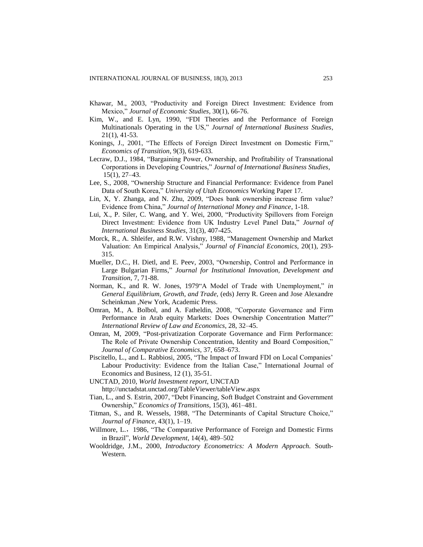- Khawar, M., 2003, "Productivity and Foreign Direct Investment: Evidence from Mexico," *Journal of Economic Studies*, 30(1), 66-76.
- Kim, W., and E. Lyn, 1990, "FDI Theories and the Performance of Foreign Multinationals Operating in the US," *Journal of International Business Studies*, 21(1), 41-53.
- Konings, J., 2001, "The Effects of Foreign Direct Investment on Domestic Firm," *Economics of Transition*, 9(3), 619-633.
- Lecraw, D.J., 1984, "Bargaining Power, Ownership, and Profitability of Transnational Corporations in Developing Countries," *Journal of International Business Studies*, 15(1), 27–43.
- Lee, S., 2008, "Ownership Structure and Financial Performance: Evidence from Panel Data of South Korea," *University of Utah Economics* Working Paper 17.
- Lin, X, Y. Zhanga, and N. Zhu, 2009, "Does bank ownership increase firm value? Evidence from China," *Journal of International Money and Finance*, 1-18.
- Lui, X., P. Siler, C. Wang, and Y. Wei, 2000, "Productivity Spillovers from Foreign Direct Investment: Evidence from UK Industry Level Panel Data," *Journal of International Business Studies*, 31(3), 407-425.
- Morck, R., A. Shleifer, and R.W. Vishny, 1988, "Management Ownership and Market Valuation: An Empirical Analysis," *Journal of Financial Economics*, 20(1), 293- 315.
- Mueller, D.C., H. Dietl, and E. Peev, 2003, "Ownership, Control and Performance in Large Bulgarian Firms," *Journal for Institutional Innovation, Development and Transition*, 7, 71-88.
- Norman, K., and R. W. Jones, 1979"A Model of Trade with Unemployment," *in General Equilibrium, Growth, and Trade,* (eds) Jerry R. Green and Jose Alexandre Scheinkman ,New York, Academic Press.
- Omran, M., A. Bolbol, and A. Fatheldin, 2008, "Corporate Governance and Firm Performance in Arab equity Markets: Does Ownership Concentration Matter?" *International Review of Law and Economics*, 28, 32–45.
- Omran, M, 2009, "Post-privatization Corporate Governance and Firm Performance: The Role of Private Ownership Concentration, Identity and Board Composition," *Journal of Comparative Economics*, 37, 658–673.
- Piscitello, L., and L. Rabbiosi, 2005, "The Impact of Inward FDI on Local Companies' Labour Productivity: Evidence from the Italian Case," International Journal of Economics and Business, 12 (1), 35-51.

UNCTAD, 2010, *World Investment report*, UNCTAD

<http://unctadstat.unctad.org/TableViewer/tableView.aspx>

- Tian, L., and S. Estrin, 2007, "Debt Financing, Soft Budget Constraint and Government Ownership," *Economics of Transitions*, 15(3), 461–481.
- Titman, S., and R. Wessels, 1988, "The Determinants of Capital Structure Choice," *Journal of Finance*, 43(1), 1–19.
- Willmore, L., 1986, "The Comparative Performance of Foreign and Domestic Firms in Brazil", *World Development*, 14(4), 489–502
- Wooldridge, J.M., 2000, *Introductory Econometrics: A Modern Approach.* South-Western.